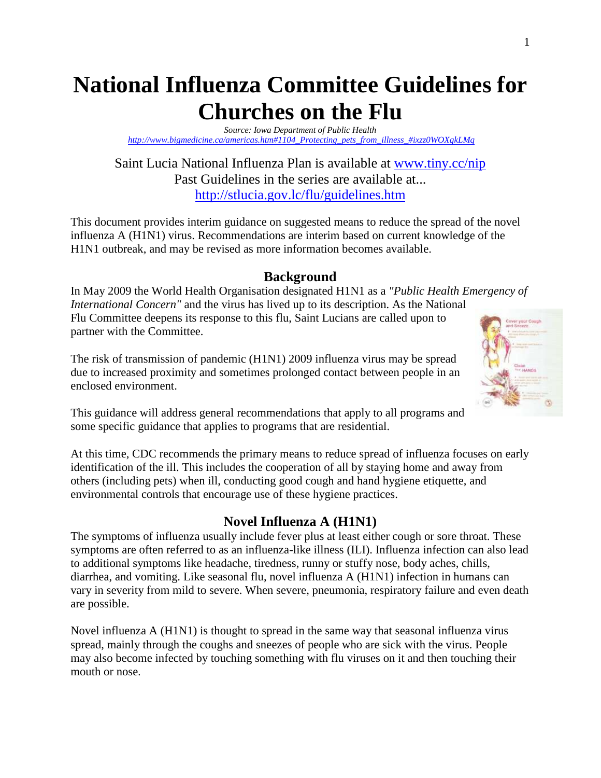## **National Influenza Committee Guidelines for Churches on the Flu**

*Source: Iowa Department of Public Health http://www.bigmedicine.ca/americas.htm#1104\_Protecting\_pets\_from\_illness\_#ixzz0WOXqkLMq* 

Saint Lucia National Influenza Plan is available at www.tiny.cc/nip Past Guidelines in the series are available at... http://stlucia.gov.lc/flu/guidelines.htm

This document provides interim guidance on suggested means to reduce the spread of the novel influenza A (H1N1) virus. Recommendations are interim based on current knowledge of the H1N1 outbreak, and may be revised as more information becomes available.

## **Background**

In May 2009 the World Health Organisation designated H1N1 as a *"Public Health Emergency of International Concern"* and the virus has lived up to its description. As the National Flu Committee deepens its response to this flu, Saint Lucians are called upon to partner with the Committee.

The risk of transmission of pandemic (H1N1) 2009 influenza virus may be spread due to increased proximity and sometimes prolonged contact between people in an enclosed environment.



This guidance will address general recommendations that apply to all programs and some specific guidance that applies to programs that are residential.

At this time, CDC recommends the primary means to reduce spread of influenza focuses on early identification of the ill. This includes the cooperation of all by staying home and away from others (including pets) when ill, conducting good cough and hand hygiene etiquette, and environmental controls that encourage use of these hygiene practices.

## **Novel Influenza A (H1N1)**

The symptoms of influenza usually include fever plus at least either cough or sore throat. These symptoms are often referred to as an influenza-like illness (ILI). Influenza infection can also lead to additional symptoms like headache, tiredness, runny or stuffy nose, body aches, chills, diarrhea, and vomiting. Like seasonal flu, novel influenza A (H1N1) infection in humans can vary in severity from mild to severe. When severe, pneumonia, respiratory failure and even death are possible.

Novel influenza A (H1N1) is thought to spread in the same way that seasonal influenza virus spread, mainly through the coughs and sneezes of people who are sick with the virus. People may also become infected by touching something with flu viruses on it and then touching their mouth or nose.